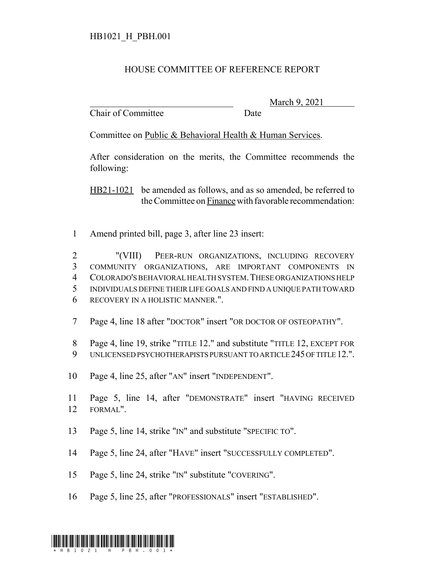## HB1021\_H\_PBH.001

## HOUSE COMMITTEE OF REFERENCE REPORT

Chair of Committee Date

March 9, 2021

Committee on Public & Behavioral Health & Human Services.

After consideration on the merits, the Committee recommends the following:

HB21-1021 be amended as follows, and as so amended, be referred to the Committee on Finance with favorable recommendation:

Amend printed bill, page 3, after line 23 insert:

 "(VIII) PEER-RUN ORGANIZATIONS, INCLUDING RECOVERY COMMUNITY ORGANIZATIONS, ARE IMPORTANT COMPONENTS IN COLORADO'S BEHAVIORAL HEALTH SYSTEM.THESE ORGANIZATIONS HELP INDIVIDUALS DEFINE THEIR LIFE GOALS AND FIND A UNIQUE PATH TOWARD RECOVERY IN A HOLISTIC MANNER.".

- Page 4, line 18 after "DOCTOR" insert "OR DOCTOR OF OSTEOPATHY".
- Page 4, line 19, strike "TITLE 12." and substitute "TITLE 12, EXCEPT FOR
- UNLICENSED PSYCHOTHERAPISTS PURSUANT TO ARTICLE 245 OF TITLE 12.".
- Page 4, line 25, after "AN" insert "INDEPENDENT".
- Page 5, line 14, after "DEMONSTRATE" insert "HAVING RECEIVED FORMAL".
- Page 5, line 14, strike "IN" and substitute "SPECIFIC TO".
- Page 5, line 24, after "HAVE" insert "SUCCESSFULLY COMPLETED".
- Page 5, line 24, strike "IN" substitute "COVERING".
- Page 5, line 25, after "PROFESSIONALS" insert "ESTABLISHED".